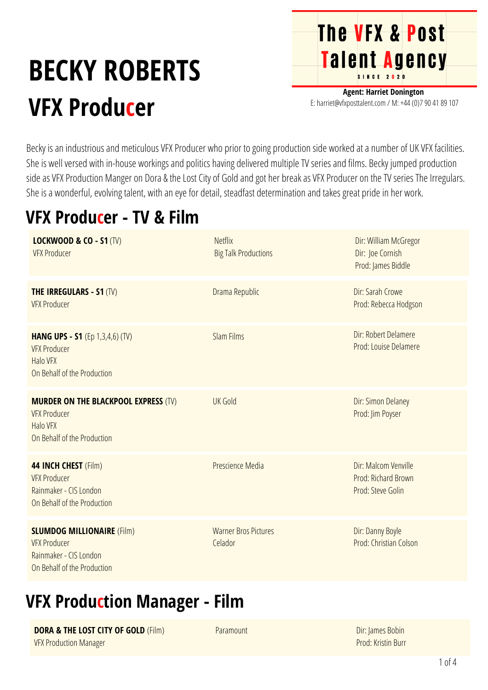# **BECKY ROBERTS VFX Producer**

**Agent: Harriet Donington** E: harriet@vfxposttalent.com / M:+44(0)7904189107

**The VFX & Post** 

Talent Agency

Becky is an industrious and meticulous VFX Producer who prior to going production side worked at a number of UK VFX facilities. She is well versed with in-house workings and politics having delivered multiple TV series and films. Becky jumped production side as VFX Production Manger on Dora & the Lost City of Gold and got her break as VFX Producer on the TV series The Irregulars. She is a wonderful, evolving talent, with an eye for detail, steadfast determination and takes great pride in her work.

### **VFX Producer - TV & Film**

| <b>LOCKWOOD &amp; CO - S1 (TV)</b><br><b>VFX Producer</b>                                                            | <b>Netflix</b><br><b>Big Talk Productions</b> | Dir: William McGregor<br>Dir: Joe Cornish<br>Prod: James Biddle  |
|----------------------------------------------------------------------------------------------------------------------|-----------------------------------------------|------------------------------------------------------------------|
| <b>THE IRREGULARS - S1 (TV)</b><br><b>VFX Producer</b>                                                               | Drama Republic                                | Dir: Sarah Crowe<br>Prod: Rebecca Hodgson                        |
| <b>HANG UPS - S1</b> (Ep 1,3,4,6) (TV)<br><b>VFX Producer</b><br><b>Halo VFX</b><br>On Behalf of the Production      | <b>Slam Films</b>                             | Dir: Robert Delamere<br>Prod: Louise Delamere                    |
| <b>MURDER ON THE BLACKPOOL EXPRESS (TV)</b><br><b>VFX Producer</b><br><b>Halo VFX</b><br>On Behalf of the Production | <b>UK Gold</b>                                | Dir: Simon Delaney<br>Prod: Jim Poyser                           |
| 44 INCH CHEST (Film)<br><b>VFX Producer</b><br>Rainmaker - CIS London<br>On Behalf of the Production                 | Prescience Media                              | Dir: Malcom Venville<br>Prod: Richard Brown<br>Prod: Steve Golin |
| <b>SLUMDOG MILLIONAIRE (Film)</b><br><b>VFX Producer</b><br>Rainmaker - CIS London<br>On Behalf of the Production    | <b>Warner Bros Pictures</b><br>Celador        | Dir: Danny Boyle<br>Prod: Christian Colson                       |

#### **VFX Production Manager - Film**

**DORA & THE LOST CITY OF GOLD** (Film) VFX Production Manager

Paramount

Dir: James Bobin Prod: Kristin Burr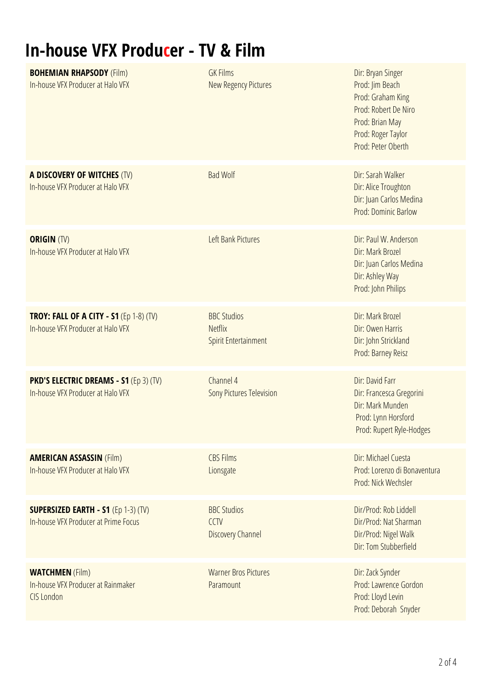## **In-house VFX Producer - TV & Film**

| <b>BOHEMIAN RHAPSODY (Film)</b><br>In-house VFX Producer at Halo VFX                | <b>GK Films</b><br><b>New Regency Pictures</b>                      | Dir: Bryan Singer<br>Prod: Jim Beach<br>Prod: Graham King<br>Prod: Robert De Niro<br>Prod: Brian May<br>Prod: Roger Taylor<br>Prod: Peter Oberth |
|-------------------------------------------------------------------------------------|---------------------------------------------------------------------|--------------------------------------------------------------------------------------------------------------------------------------------------|
| A DISCOVERY OF WITCHES (TV)<br>In-house VFX Producer at Halo VFX                    | <b>Bad Wolf</b>                                                     | Dir: Sarah Walker<br>Dir: Alice Troughton<br>Dir: Juan Carlos Medina<br><b>Prod: Dominic Barlow</b>                                              |
| <b>ORIGIN (TV)</b><br>In-house VFX Producer at Halo VFX                             | Left Bank Pictures                                                  | Dir: Paul W. Anderson<br>Dir: Mark Brozel<br>Dir: Juan Carlos Medina<br>Dir: Ashley Way<br>Prod: John Philips                                    |
| <b>TROY: FALL OF A CITY - S1 (Ep 1-8) (TV)</b><br>In-house VFX Producer at Halo VFX | <b>BBC Studios</b><br><b>Netflix</b><br><b>Spirit Entertainment</b> | Dir: Mark Brozel<br>Dir: Owen Harris<br>Dir: John Strickland<br>Prod: Barney Reisz                                                               |
| <b>PKD'S ELECTRIC DREAMS - S1 (Ep 3) (TV)</b><br>In-house VFX Producer at Halo VFX  | Channel 4<br><b>Sony Pictures Television</b>                        | Dir: David Farr<br>Dir: Francesca Gregorini<br>Dir: Mark Munden<br>Prod: Lynn Horsford<br>Prod: Rupert Ryle-Hodges                               |
| <b>AMERICAN ASSASSIN (Film)</b><br>In-house VFX Producer at Halo VFX                | <b>CBS Films</b><br>Lionsgate                                       | Dir: Michael Cuesta<br>Prod: Lorenzo di Bonaventura<br>Prod: Nick Wechsler                                                                       |
| <b>SUPERSIZED EARTH - S1 (Ep 1-3) (TV)</b><br>In-house VFX Producer at Prime Focus  | <b>BBC Studios</b><br>CCTV<br><b>Discovery Channel</b>              | Dir/Prod: Rob Liddell<br>Dir/Prod: Nat Sharman<br>Dir/Prod: Nigel Walk<br>Dir: Tom Stubberfield                                                  |
| <b>WATCHMEN</b> (Film)<br>In-house VFX Producer at Rainmaker<br><b>CIS London</b>   | <b>Warner Bros Pictures</b><br>Paramount                            | Dir: Zack Synder<br>Prod: Lawrence Gordon<br>Prod: Lloyd Levin<br>Prod: Deborah Snyder                                                           |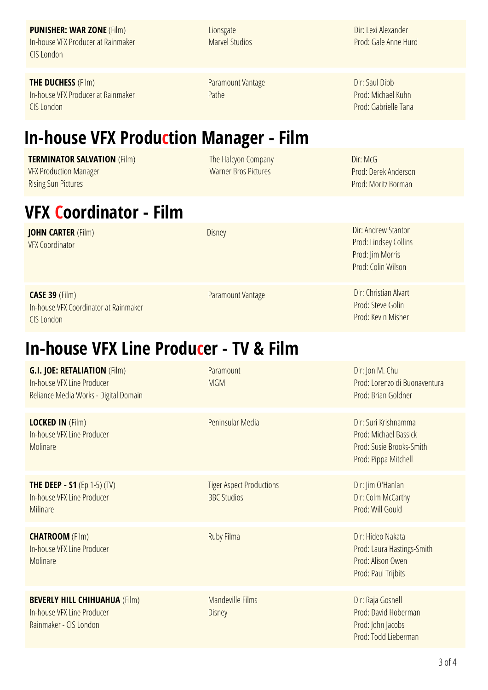**PUNISHER: WAR ZONE** (Film) In-houseVFX Producerat Rainmaker CISLondon

**Lionsgate Marvel Studios**  Dir: Lexi Alexander Prod: GaleAnne Hurd

**THE DUCHESS** (Film) In-house VFX Producer at Rainmaker CISLondon

Paramount Vantage Pathe

The Halcyon Company Warner Bros Pictures

Dir: Saul Dibb Prod: Michael Kuhn Prod: Gabrielle Tana

Dir: McG

### **In-house VFX Production Manager - Film**

#### **TERMINATOR SALVATION** (Film)

VFX Production Manager **Rising Sun Pictures** 

#### **VFX Coordinator - Film**

**JOHN CARTER** (Film) VFX Coordinator

Disney Dir:Andrew Stanton

Paramount Vantage Dir: Christian Alvart

Prod: Jim Morris Prod: Colin Wilson

Prod: Lindsey Collins

Prod: DerekAnderson Prod: Moritz Borman

Prod: Steve Golin Prod: Kevin Misher

#### **CASE 39** (Film) In-house VFX Coordinator at Rainmaker CISLondon

### **In-house VFX Line Producer - TV & Film**

| <b>G.I. JOE: RETALIATION (Film)</b><br>In-house VFX Line Producer<br>Reliance Media Works - Digital Domain | Paramount<br><b>MGM</b>                               | Dir: Jon M. Chu<br>Prod: Lorenzo di Buonaventura<br>Prod: Brian Goldner                           |
|------------------------------------------------------------------------------------------------------------|-------------------------------------------------------|---------------------------------------------------------------------------------------------------|
| <b>LOCKED IN (Film)</b><br>In-house VFX Line Producer<br>Molinare                                          | Peninsular Media                                      | Dir: Suri Krishnamma<br>Prod: Michael Bassick<br>Prod: Susie Brooks-Smith<br>Prod: Pippa Mitchell |
| <b>THE DEEP - S1</b> (Ep 1-5) (TV)<br>In-house VFX Line Producer<br>Milinare                               | <b>Tiger Aspect Productions</b><br><b>BBC Studios</b> | Dir: Jim O'Hanlan<br>Dir: Colm McCarthy<br>Prod: Will Gould                                       |
| <b>CHATROOM</b> (Film)<br>In-house VFX Line Producer<br>Molinare                                           | Ruby Filma                                            | Dir: Hideo Nakata<br>Prod: Laura Hastings-Smith<br>Prod: Alison Owen<br>Prod: Paul Trijbits       |
| <b>BEVERLY HILL CHIHUAHUA (Film)</b><br>In-house VFX Line Producer<br>Rainmaker - CIS London               | <b>Mandeville Films</b><br><b>Disney</b>              | Dir: Raja Gosnell<br>Prod: David Hoberman<br>Prod: John Jacobs<br>Prod: Todd Lieberman            |